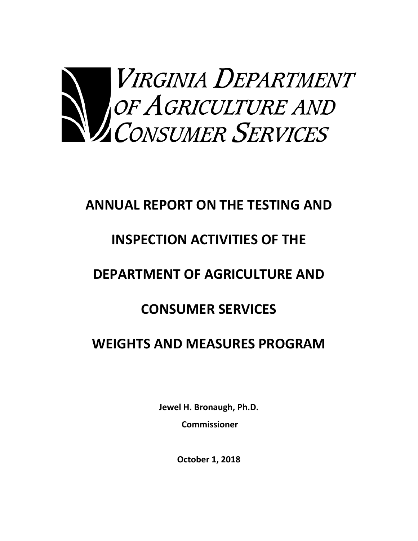

# **ANNUAL REPORT ON THE TESTING AND**

# **INSPECTION ACTIVITIES OF THE**

# **DEPARTMENT OF AGRICULTURE AND**

# **CONSUMER SERVICES**

## **WEIGHTS AND MEASURES PROGRAM**

**Jewel H. Bronaugh, Ph.D. Commissioner** 

**October 1, 2018**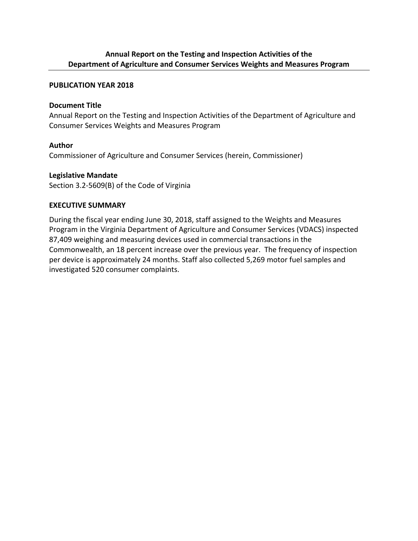### **Annual Report on the Testing and Inspection Activities of the Department of Agriculture and Consumer Services Weights and Measures Program**

#### **PUBLICATION YEAR 2018**

#### **Document Title**

Annual Report on the Testing and Inspection Activities of the Department of Agriculture and Consumer Services Weights and Measures Program

### **Author**

Commissioner of Agriculture and Consumer Services (herein, Commissioner)

#### **Legislative Mandate**

Section 3.2‐5609(B) of the Code of Virginia

### **EXECUTIVE SUMMARY**

During the fiscal year ending June 30, 2018, staff assigned to the Weights and Measures Program in the Virginia Department of Agriculture and Consumer Services (VDACS) inspected 87,409 weighing and measuring devices used in commercial transactions in the Commonwealth, an 18 percent increase over the previous year. The frequency of inspection per device is approximately 24 months. Staff also collected 5,269 motor fuel samples and investigated 520 consumer complaints.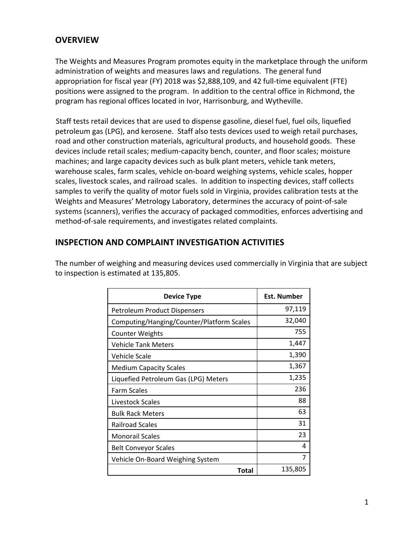### **OVERVIEW**

The Weights and Measures Program promotes equity in the marketplace through the uniform administration of weights and measures laws and regulations. The general fund appropriation for fiscal year (FY) 2018 was \$2,888,109, and 42 full‐time equivalent (FTE) positions were assigned to the program. In addition to the central office in Richmond, the program has regional offices located in Ivor, Harrisonburg, and Wytheville.

Staff tests retail devices that are used to dispense gasoline, diesel fuel, fuel oils, liquefied petroleum gas (LPG), and kerosene. Staff also tests devices used to weigh retail purchases, road and other construction materials, agricultural products, and household goods. These devices include retail scales; medium‐capacity bench, counter, and floor scales; moisture machines; and large capacity devices such as bulk plant meters, vehicle tank meters, warehouse scales, farm scales, vehicle on‐board weighing systems, vehicle scales, hopper scales, livestock scales, and railroad scales. In addition to inspecting devices, staff collects samples to verify the quality of motor fuels sold in Virginia, provides calibration tests at the Weights and Measures' Metrology Laboratory, determines the accuracy of point‐of‐sale systems (scanners), verifies the accuracy of packaged commodities, enforces advertising and method‐of‐sale requirements, and investigates related complaints.

### **INSPECTION AND COMPLAINT INVESTIGATION ACTIVITIES**

The number of weighing and measuring devices used commercially in Virginia that are subject to inspection is estimated at 135,805.

| <b>Device Type</b>                        | <b>Est. Number</b> |
|-------------------------------------------|--------------------|
| Petroleum Product Dispensers              | 97,119             |
| Computing/Hanging/Counter/Platform Scales | 32,040             |
| <b>Counter Weights</b>                    | 755                |
| <b>Vehicle Tank Meters</b>                | 1,447              |
| Vehicle Scale                             | 1,390              |
| <b>Medium Capacity Scales</b>             | 1,367              |
| Liquefied Petroleum Gas (LPG) Meters      | 1,235              |
| <b>Farm Scales</b>                        | 236                |
| Livestock Scales                          | 88                 |
| <b>Bulk Rack Meters</b>                   | 63                 |
| <b>Railroad Scales</b>                    | 31                 |
| <b>Monorail Scales</b>                    | 23                 |
| <b>Belt Conveyor Scales</b>               | 4                  |
| Vehicle On-Board Weighing System          | 7                  |
| <b>Total</b>                              | 135,805            |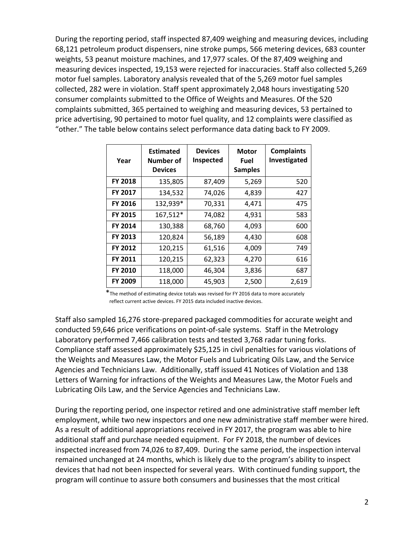During the reporting period, staff inspected 87,409 weighing and measuring devices, including 68,121 petroleum product dispensers, nine stroke pumps, 566 metering devices, 683 counter weights, 53 peanut moisture machines, and 17,977 scales. Of the 87,409 weighing and measuring devices inspected, 19,153 were rejected for inaccuracies. Staff also collected 5,269 motor fuel samples. Laboratory analysis revealed that of the 5,269 motor fuel samples collected, 282 were in violation. Staff spent approximately 2,048 hours investigating 520 consumer complaints submitted to the Office of Weights and Measures. Of the 520 complaints submitted, 365 pertained to weighing and measuring devices, 53 pertained to price advertising, 90 pertained to motor fuel quality, and 12 complaints were classified as "other." The table below contains select performance data dating back to FY 2009.

| Year           | <b>Estimated</b><br>Number of<br><b>Devices</b> | <b>Devices</b><br>Inspected | <b>Motor</b><br><b>Fuel</b><br><b>Samples</b> | <b>Complaints</b><br>Investigated |
|----------------|-------------------------------------------------|-----------------------------|-----------------------------------------------|-----------------------------------|
| FY 2018        | 135,805                                         | 87,409                      | 5,269                                         | 520                               |
| <b>FY 2017</b> | 134,532                                         | 74,026                      | 4,839                                         | 427                               |
| <b>FY 2016</b> | 132,939*                                        | 70,331                      | 4,471                                         | 475                               |
| FY 2015        | 167,512*                                        | 74,082                      | 4,931                                         | 583                               |
| <b>FY 2014</b> | 130,388                                         | 68,760                      | 4,093                                         | 600                               |
| FY 2013        | 120,824                                         | 56,189                      | 4,430                                         | 608                               |
| FY 2012        | 120,215                                         | 61,516                      | 4,009                                         | 749                               |
| FY 2011        | 120,215                                         | 62,323                      | 4,270                                         | 616                               |
| <b>FY 2010</b> | 118,000                                         | 46,304                      | 3,836                                         | 687                               |
| FY 2009        | 118,000                                         | 45,903                      | 2,500                                         | 2,619                             |

 \*The method of estimating device totals was revised for FY 2016 data to more accurately reflect current active devices. FY 2015 data included inactive devices.

Staff also sampled 16,276 store‐prepared packaged commodities for accurate weight and conducted 59,646 price verifications on point‐of‐sale systems. Staff in the Metrology Laboratory performed 7,466 calibration tests and tested 3,768 radar tuning forks. Compliance staff assessed approximately \$25,125 in civil penalties for various violations of the Weights and Measures Law, the Motor Fuels and Lubricating Oils Law, and the Service Agencies and Technicians Law. Additionally, staff issued 41 Notices of Violation and 138 Letters of Warning for infractions of the Weights and Measures Law, the Motor Fuels and Lubricating Oils Law, and the Service Agencies and Technicians Law.

During the reporting period, one inspector retired and one administrative staff member left employment, while two new inspectors and one new administrative staff member were hired. As a result of additional appropriations received in FY 2017, the program was able to hire additional staff and purchase needed equipment. For FY 2018, the number of devices inspected increased from 74,026 to 87,409. During the same period, the inspection interval remained unchanged at 24 months, which is likely due to the program's ability to inspect devices that had not been inspected for several years. With continued funding support, the program will continue to assure both consumers and businesses that the most critical